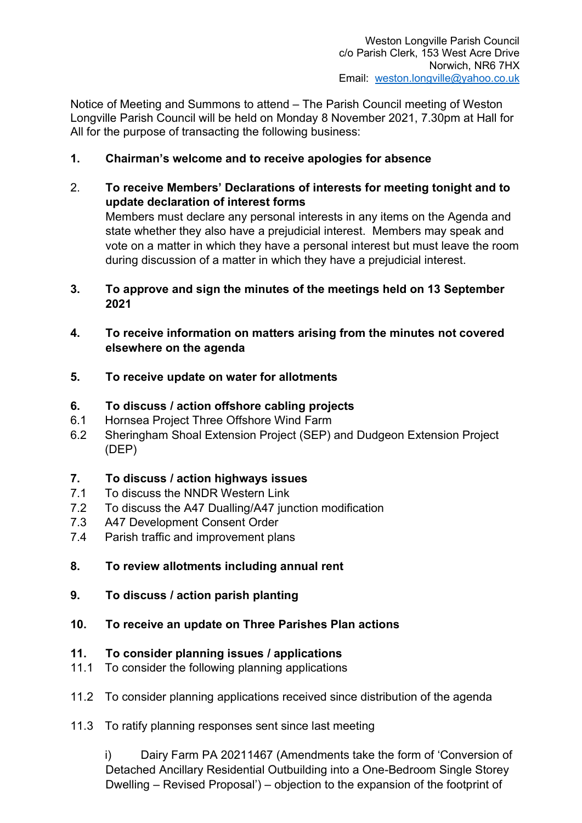Notice of Meeting and Summons to attend – The Parish Council meeting of Weston Longville Parish Council will be held on Monday 8 November 2021, 7.30pm at Hall for All for the purpose of transacting the following business:

- 1. Chairman's welcome and to receive apologies for absence
- 2. To receive Members' Declarations of interests for meeting tonight and to update declaration of interest forms Members must declare any personal interests in any items on the Agenda and state whether they also have a prejudicial interest. Members may speak and vote on a matter in which they have a personal interest but must leave the room during discussion of a matter in which they have a prejudicial interest.
- 3. To approve and sign the minutes of the meetings held on 13 September 2021
- 4. To receive information on matters arising from the minutes not covered elsewhere on the agenda
- 5. To receive update on water for allotments
- 6. To discuss / action offshore cabling projects
- 6.1 Hornsea Project Three Offshore Wind Farm
- 6.2 Sheringham Shoal Extension Project (SEP) and Dudgeon Extension Project (DEP)

### 7. To discuss / action highways issues

- 7.1 To discuss the NNDR Western Link
- 7.2 To discuss the A47 Dualling/A47 junction modification
- 7.3 A47 Development Consent Order
- 7.4 Parish traffic and improvement plans
- 8. To review allotments including annual rent
- 9. To discuss / action parish planting
- 10. To receive an update on Three Parishes Plan actions

### 11. To consider planning issues / applications

- 11.1 To consider the following planning applications
- 11.2 To consider planning applications received since distribution of the agenda
- 11.3 To ratify planning responses sent since last meeting

i) Dairy Farm PA 20211467 (Amendments take the form of 'Conversion of Detached Ancillary Residential Outbuilding into a One-Bedroom Single Storey Dwelling – Revised Proposal') – objection to the expansion of the footprint of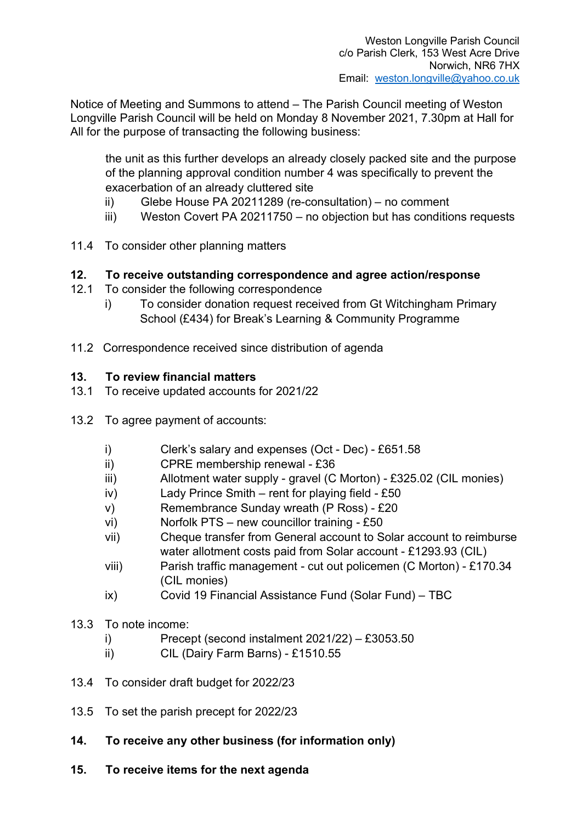Notice of Meeting and Summons to attend – The Parish Council meeting of Weston Longville Parish Council will be held on Monday 8 November 2021, 7.30pm at Hall for All for the purpose of transacting the following business:

the unit as this further develops an already closely packed site and the purpose of the planning approval condition number 4 was specifically to prevent the exacerbation of an already cluttered site

- ii) Glebe House PA 20211289 (re-consultation) no comment
- iii) Weston Covert PA 20211750 no objection but has conditions requests
- 11.4 To consider other planning matters

# 12. To receive outstanding correspondence and agree action/response

- 12.1 To consider the following correspondence
	- i) To consider donation request received from Gt Witchingham Primary School (£434) for Break's Learning & Community Programme
- 11.2 Correspondence received since distribution of agenda

# 13. To review financial matters

- 13.1 To receive updated accounts for 2021/22
- 13.2 To agree payment of accounts:
	- i) Clerk's salary and expenses (Oct Dec) £651.58
	- ii) CPRE membership renewal £36
	- iii) Allotment water supply gravel (C Morton) £325.02 (CIL monies)
	- iv) Lady Prince Smith rent for playing field £50
	- v) Remembrance Sunday wreath (P Ross) £20
	- vi) Norfolk PTS new councillor training £50
	- vii) Cheque transfer from General account to Solar account to reimburse water allotment costs paid from Solar account - £1293.93 (CIL)
	- viii) Parish traffic management cut out policemen (C Morton) £170.34 (CIL monies)
	- ix) Covid 19 Financial Assistance Fund (Solar Fund) TBC
- 13.3 To note income:
	- i) Precept (second instalment 2021/22) £3053.50
	- ii) CIL (Dairy Farm Barns) £1510.55
- 13.4 To consider draft budget for 2022/23
- 13.5 To set the parish precept for 2022/23
- 14. To receive any other business (for information only)
- 15. To receive items for the next agenda